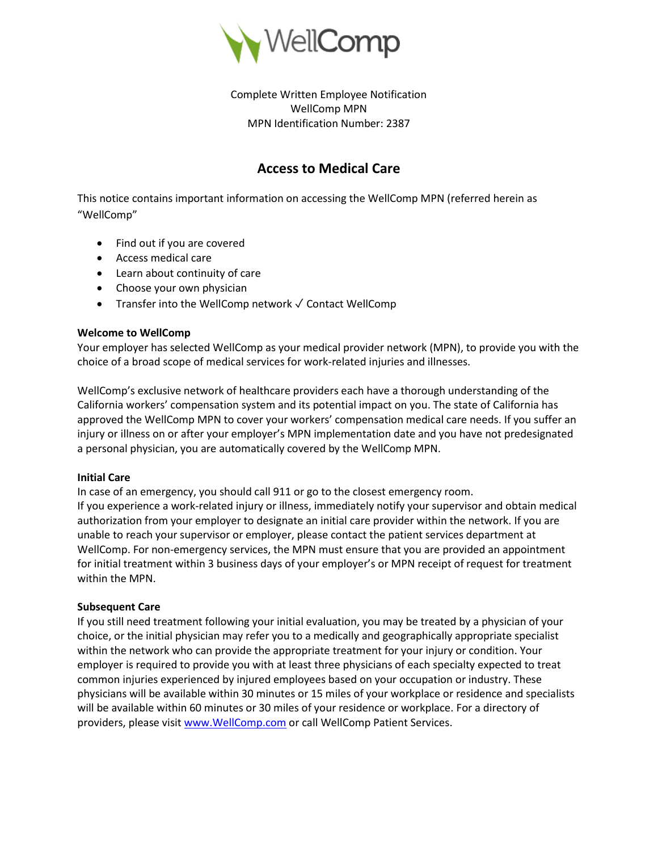

Complete Written Employee Notification WellComp MPN MPN Identification Number: 2387

# **Access to Medical Care**

This notice contains important information on accessing the WellComp MPN (referred herein as "WellComp"

- Find out if you are covered
- Access medical care
- Learn about continuity of care
- Choose your own physician
- Transfer into the WellComp network ✓ Contact WellComp

# **Welcome to WellComp**

Your employer has selected WellComp as your medical provider network (MPN), to provide you with the choice of a broad scope of medical services for work-related injuries and illnesses.

WellComp's exclusive network of healthcare providers each have a thorough understanding of the California workers' compensation system and its potential impact on you. The state of California has approved the WellComp MPN to cover your workers' compensation medical care needs. If you suffer an injury or illness on or after your employer's MPN implementation date and you have not predesignated a personal physician, you are automatically covered by the WellComp MPN.

# **Initial Care**

In case of an emergency, you should call 911 or go to the closest emergency room.

If you experience a work-related injury or illness, immediately notify your supervisor and obtain medical authorization from your employer to designate an initial care provider within the network. If you are unable to reach your supervisor or employer, please contact the patient services department at WellComp. For non-emergency services, the MPN must ensure that you are provided an appointment for initial treatment within 3 business days of your employer's or MPN receipt of request for treatment within the MPN.

# **Subsequent Care**

If you still need treatment following your initial evaluation, you may be treated by a physician of your choice, or the initial physician may refer you to a medically and geographically appropriate specialist within the network who can provide the appropriate treatment for your injury or condition. Your employer is required to provide you with at least three physicians of each specialty expected to treat common injuries experienced by injured employees based on your occupation or industry. These physicians will be available within 30 minutes or 15 miles of your workplace or residence and specialists will be available within 60 minutes or 30 miles of your residence or workplace. For a directory of providers, please visit [www.WellComp.com](www.WellComp.com%20) or call WellComp Patient Services.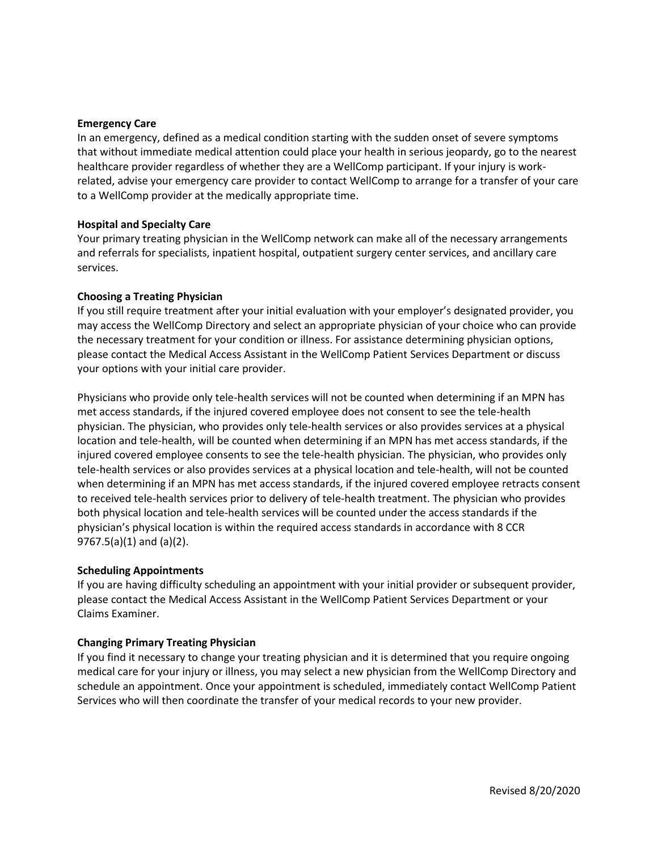#### **Emergency Care**

In an emergency, defined as a medical condition starting with the sudden onset of severe symptoms that without immediate medical attention could place your health in serious jeopardy, go to the nearest healthcare provider regardless of whether they are a WellComp participant. If your injury is workrelated, advise your emergency care provider to contact WellComp to arrange for a transfer of your care to a WellComp provider at the medically appropriate time.

#### **Hospital and Specialty Care**

Your primary treating physician in the WellComp network can make all of the necessary arrangements and referrals for specialists, inpatient hospital, outpatient surgery center services, and ancillary care services.

## **Choosing a Treating Physician**

If you still require treatment after your initial evaluation with your employer's designated provider, you may access the WellComp Directory and select an appropriate physician of your choice who can provide the necessary treatment for your condition or illness. For assistance determining physician options, please contact the Medical Access Assistant in the WellComp Patient Services Department or discuss your options with your initial care provider.

Physicians who provide only tele-health services will not be counted when determining if an MPN has met access standards, if the injured covered employee does not consent to see the tele-health physician. The physician, who provides only tele-health services or also provides services at a physical location and tele-health, will be counted when determining if an MPN has met access standards, if the injured covered employee consents to see the tele-health physician. The physician, who provides only tele-health services or also provides services at a physical location and tele-health, will not be counted when determining if an MPN has met access standards, if the injured covered employee retracts consent to received tele-health services prior to delivery of tele-health treatment. The physician who provides both physical location and tele-health services will be counted under the access standards if the physician's physical location is within the required access standards in accordance with 8 CCR 9767.5(a)(1) and (a)(2).

#### **Scheduling Appointments**

If you are having difficulty scheduling an appointment with your initial provider or subsequent provider, please contact the Medical Access Assistant in the WellComp Patient Services Department or your Claims Examiner.

#### **Changing Primary Treating Physician**

If you find it necessary to change your treating physician and it is determined that you require ongoing medical care for your injury or illness, you may select a new physician from the WellComp Directory and schedule an appointment. Once your appointment is scheduled, immediately contact WellComp Patient Services who will then coordinate the transfer of your medical records to your new provider.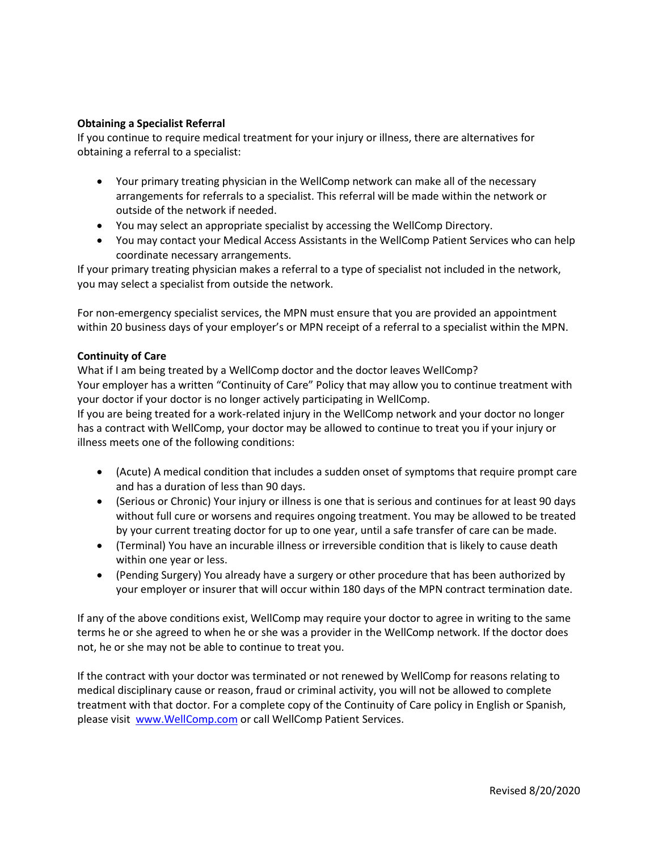# **Obtaining a Specialist Referral**

If you continue to require medical treatment for your injury or illness, there are alternatives for obtaining a referral to a specialist:

- Your primary treating physician in the WellComp network can make all of the necessary arrangements for referrals to a specialist. This referral will be made within the network or outside of the network if needed.
- You may select an appropriate specialist by accessing the WellComp Directory.
- You may contact your Medical Access Assistants in the WellComp Patient Services who can help coordinate necessary arrangements.

If your primary treating physician makes a referral to a type of specialist not included in the network, you may select a specialist from outside the network.

For non-emergency specialist services, the MPN must ensure that you are provided an appointment within 20 business days of your employer's or MPN receipt of a referral to a specialist within the MPN.

# **Continuity of Care**

What if I am being treated by a WellComp doctor and the doctor leaves WellComp? Your employer has a written "Continuity of Care" Policy that may allow you to continue treatment with your doctor if your doctor is no longer actively participating in WellComp.

If you are being treated for a work-related injury in the WellComp network and your doctor no longer has a contract with WellComp, your doctor may be allowed to continue to treat you if your injury or illness meets one of the following conditions:

- (Acute) A medical condition that includes a sudden onset of symptoms that require prompt care and has a duration of less than 90 days.
- (Serious or Chronic) Your injury or illness is one that is serious and continues for at least 90 days without full cure or worsens and requires ongoing treatment. You may be allowed to be treated by your current treating doctor for up to one year, until a safe transfer of care can be made.
- (Terminal) You have an incurable illness or irreversible condition that is likely to cause death within one year or less.
- (Pending Surgery) You already have a surgery or other procedure that has been authorized by your employer or insurer that will occur within 180 days of the MPN contract termination date.

If any of the above conditions exist, WellComp may require your doctor to agree in writing to the same terms he or she agreed to when he or she was a provider in the WellComp network. If the doctor does not, he or she may not be able to continue to treat you.

If the contract with your doctor was terminated or not renewed by WellComp for reasons relating to medical disciplinary cause or reason, fraud or criminal activity, you will not be allowed to complete treatment with that doctor. For a complete copy of the Continuity of Care policy in English or Spanish, please visit [www.WellComp.com](www.WellComp.com%20) or call WellComp Patient Services.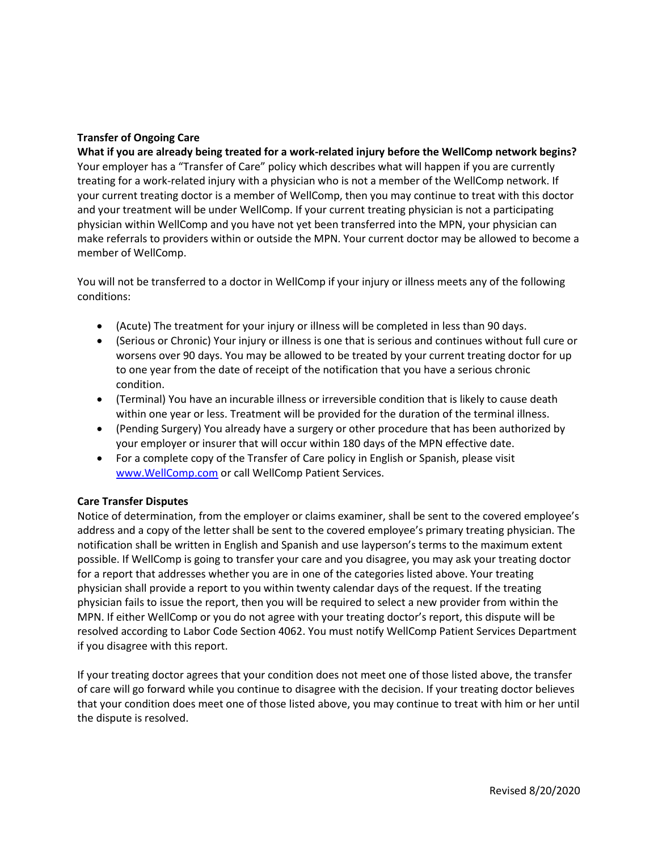# **Transfer of Ongoing Care**

**What if you are already being treated for a work-related injury before the WellComp network begins?** Your employer has a "Transfer of Care" policy which describes what will happen if you are currently treating for a work-related injury with a physician who is not a member of the WellComp network. If your current treating doctor is a member of WellComp, then you may continue to treat with this doctor and your treatment will be under WellComp. If your current treating physician is not a participating physician within WellComp and you have not yet been transferred into the MPN, your physician can make referrals to providers within or outside the MPN. Your current doctor may be allowed to become a member of WellComp.

You will not be transferred to a doctor in WellComp if your injury or illness meets any of the following conditions:

- (Acute) The treatment for your injury or illness will be completed in less than 90 days.
- (Serious or Chronic) Your injury or illness is one that is serious and continues without full cure or worsens over 90 days. You may be allowed to be treated by your current treating doctor for up to one year from the date of receipt of the notification that you have a serious chronic condition.
- (Terminal) You have an incurable illness or irreversible condition that is likely to cause death within one year or less. Treatment will be provided for the duration of the terminal illness.
- (Pending Surgery) You already have a surgery or other procedure that has been authorized by your employer or insurer that will occur within 180 days of the MPN effective date.
- For a complete copy of the Transfer of Care policy in English or Spanish, please visit [www.WellComp.com](www.WellComp.com%20) or call WellComp Patient Services.

# **Care Transfer Disputes**

Notice of determination, from the employer or claims examiner, shall be sent to the covered employee's address and a copy of the letter shall be sent to the covered employee's primary treating physician. The notification shall be written in English and Spanish and use layperson's terms to the maximum extent possible. If WellComp is going to transfer your care and you disagree, you may ask your treating doctor for a report that addresses whether you are in one of the categories listed above. Your treating physician shall provide a report to you within twenty calendar days of the request. If the treating physician fails to issue the report, then you will be required to select a new provider from within the MPN. If either WellComp or you do not agree with your treating doctor's report, this dispute will be resolved according to Labor Code Section 4062. You must notify WellComp Patient Services Department if you disagree with this report.

If your treating doctor agrees that your condition does not meet one of those listed above, the transfer of care will go forward while you continue to disagree with the decision. If your treating doctor believes that your condition does meet one of those listed above, you may continue to treat with him or her until the dispute is resolved.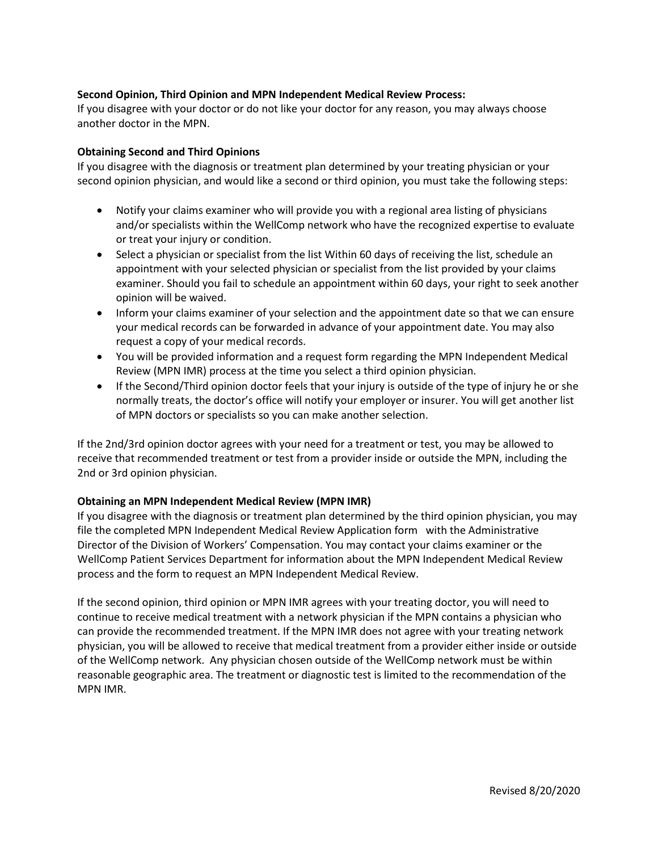# **Second Opinion, Third Opinion and MPN Independent Medical Review Process:**

If you disagree with your doctor or do not like your doctor for any reason, you may always choose another doctor in the MPN.

# **Obtaining Second and Third Opinions**

If you disagree with the diagnosis or treatment plan determined by your treating physician or your second opinion physician, and would like a second or third opinion, you must take the following steps:

- Notify your claims examiner who will provide you with a regional area listing of physicians and/or specialists within the WellComp network who have the recognized expertise to evaluate or treat your injury or condition.
- Select a physician or specialist from the list Within 60 days of receiving the list, schedule an appointment with your selected physician or specialist from the list provided by your claims examiner. Should you fail to schedule an appointment within 60 days, your right to seek another opinion will be waived.
- Inform your claims examiner of your selection and the appointment date so that we can ensure your medical records can be forwarded in advance of your appointment date. You may also request a copy of your medical records.
- You will be provided information and a request form regarding the MPN Independent Medical Review (MPN IMR) process at the time you select a third opinion physician.
- If the Second/Third opinion doctor feels that your injury is outside of the type of injury he or she normally treats, the doctor's office will notify your employer or insurer. You will get another list of MPN doctors or specialists so you can make another selection.

If the 2nd/3rd opinion doctor agrees with your need for a treatment or test, you may be allowed to receive that recommended treatment or test from a provider inside or outside the MPN, including the 2nd or 3rd opinion physician.

# **Obtaining an MPN Independent Medical Review (MPN IMR)**

If you disagree with the diagnosis or treatment plan determined by the third opinion physician, you may file the completed MPN Independent Medical Review Application form with the Administrative Director of the Division of Workers' Compensation. You may contact your claims examiner or the WellComp Patient Services Department for information about the MPN Independent Medical Review process and the form to request an MPN Independent Medical Review.

If the second opinion, third opinion or MPN IMR agrees with your treating doctor, you will need to continue to receive medical treatment with a network physician if the MPN contains a physician who can provide the recommended treatment. If the MPN IMR does not agree with your treating network physician, you will be allowed to receive that medical treatment from a provider either inside or outside of the WellComp network. Any physician chosen outside of the WellComp network must be within reasonable geographic area. The treatment or diagnostic test is limited to the recommendation of the MPN IMR.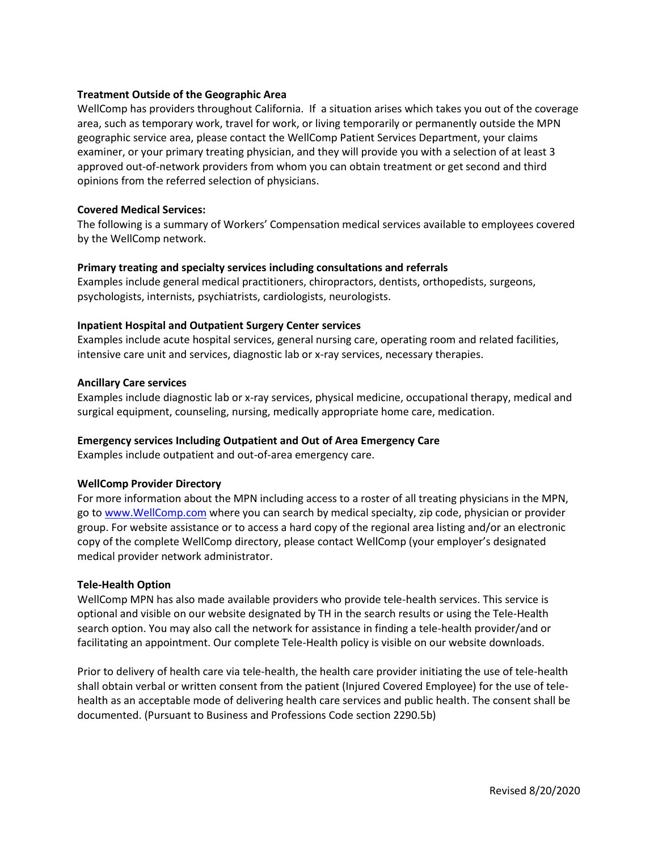## **Treatment Outside of the Geographic Area**

WellComp has providers throughout California. If a situation arises which takes you out of the coverage area, such as temporary work, travel for work, or living temporarily or permanently outside the MPN geographic service area, please contact the WellComp Patient Services Department, your claims examiner, or your primary treating physician, and they will provide you with a selection of at least 3 approved out-of-network providers from whom you can obtain treatment or get second and third opinions from the referred selection of physicians.

#### **Covered Medical Services:**

The following is a summary of Workers' Compensation medical services available to employees covered by the WellComp network.

#### **Primary treating and specialty services including consultations and referrals**

Examples include general medical practitioners, chiropractors, dentists, orthopedists, surgeons, psychologists, internists, psychiatrists, cardiologists, neurologists.

#### **Inpatient Hospital and Outpatient Surgery Center services**

Examples include acute hospital services, general nursing care, operating room and related facilities, intensive care unit and services, diagnostic lab or x-ray services, necessary therapies.

#### **Ancillary Care services**

Examples include diagnostic lab or x-ray services, physical medicine, occupational therapy, medical and surgical equipment, counseling, nursing, medically appropriate home care, medication.

# **Emergency services Including Outpatient and Out of Area Emergency Care**

Examples include outpatient and out-of-area emergency care.

#### **WellComp Provider Directory**

For more information about the MPN including access to a roster of all treating physicians in the MPN, go to [www.WellComp.com](www.WellComp.com%20) where you can search by medical specialty, zip code, physician or provider group. For website assistance or to access a hard copy of the regional area listing and/or an electronic copy of the complete WellComp directory, please contact WellComp (your employer's designated medical provider network administrator.

#### **Tele-Health Option**

WellComp MPN has also made available providers who provide tele-health services. This service is optional and visible on our website designated by TH in the search results or using the Tele-Health search option. You may also call the network for assistance in finding a tele-health provider/and or facilitating an appointment. Our complete Tele-Health policy is visible on our website downloads.

Prior to delivery of health care via tele-health, the health care provider initiating the use of tele-health shall obtain verbal or written consent from the patient (Injured Covered Employee) for the use of telehealth as an acceptable mode of delivering health care services and public health. The consent shall be documented. (Pursuant to Business and Professions Code section 2290.5b)